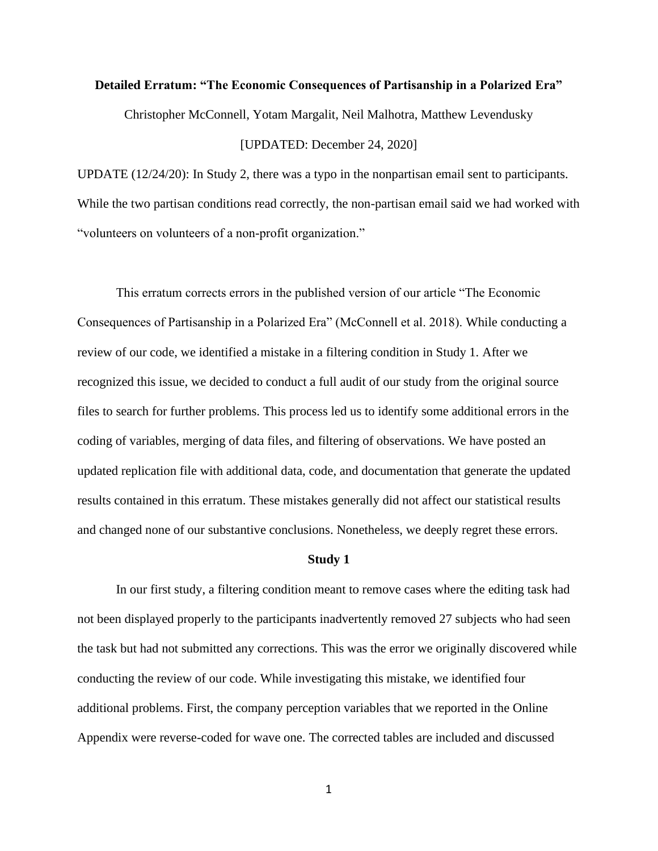### **Detailed Erratum: "The Economic Consequences of Partisanship in a Polarized Era"**

Christopher McConnell, Yotam Margalit, Neil Malhotra, Matthew Levendusky

### [UPDATED: December 24, 2020]

UPDATE (12/24/20): In Study 2, there was a typo in the nonpartisan email sent to participants. While the two partisan conditions read correctly, the non-partisan email said we had worked with "volunteers on volunteers of a non-profit organization."

This erratum corrects errors in the published version of our article "The Economic Consequences of Partisanship in a Polarized Era" (McConnell et al. 2018). While conducting a review of our code, we identified a mistake in a filtering condition in Study 1. After we recognized this issue, we decided to conduct a full audit of our study from the original source files to search for further problems. This process led us to identify some additional errors in the coding of variables, merging of data files, and filtering of observations. We have posted an updated replication file with additional data, code, and documentation that generate the updated results contained in this erratum. These mistakes generally did not affect our statistical results and changed none of our substantive conclusions. Nonetheless, we deeply regret these errors.

#### **Study 1**

In our first study, a filtering condition meant to remove cases where the editing task had not been displayed properly to the participants inadvertently removed 27 subjects who had seen the task but had not submitted any corrections. This was the error we originally discovered while conducting the review of our code. While investigating this mistake, we identified four additional problems. First, the company perception variables that we reported in the Online Appendix were reverse-coded for wave one. The corrected tables are included and discussed

1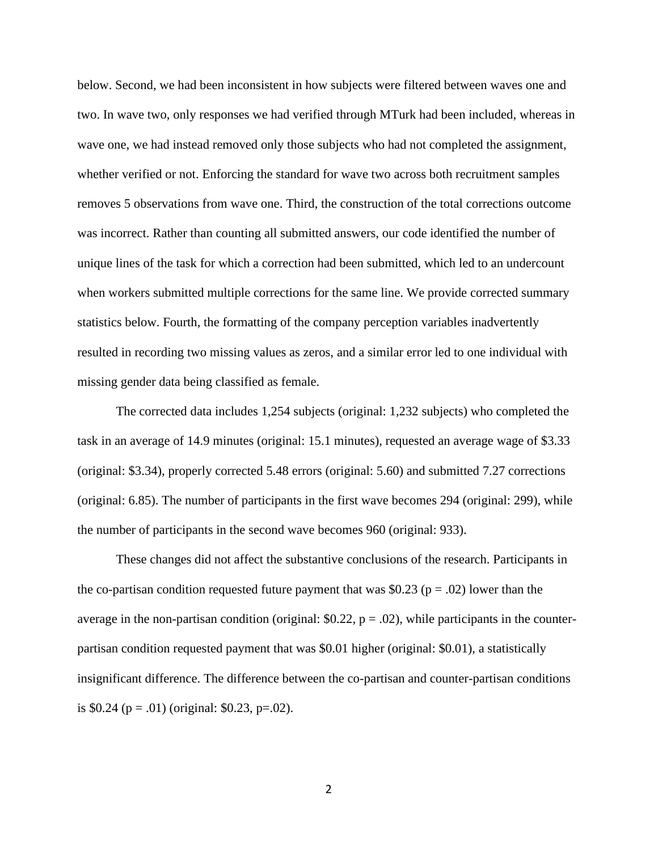below. Second, we had been inconsistent in how subjects were filtered between waves one and two. In wave two, only responses we had verified through MTurk had been included, whereas in wave one, we had instead removed only those subjects who had not completed the assignment, whether verified or not. Enforcing the standard for wave two across both recruitment samples removes 5 observations from wave one. Third, the construction of the total corrections outcome was incorrect. Rather than counting all submitted answers, our code identified the number of unique lines of the task for which a correction had been submitted, which led to an undercount when workers submitted multiple corrections for the same line. We provide corrected summary statistics below. Fourth, the formatting of the company perception variables inadvertently resulted in recording two missing values as zeros, and a similar error led to one individual with missing gender data being classified as female.

The corrected data includes 1,254 subjects (original: 1,232 subjects) who completed the task in an average of 14.9 minutes (original: 15.1 minutes), requested an average wage of \$3.33 (original: \$3.34), properly corrected 5.48 errors (original: 5.60) and submitted 7.27 corrections (original: 6.85). The number of participants in the first wave becomes 294 (original: 299), while the number of participants in the second wave becomes 960 (original: 933).

These changes did not affect the substantive conclusions of the research. Participants in the co-partisan condition requested future payment that was \$0.23 ( $p = .02$ ) lower than the average in the non-partisan condition (original:  $$0.22$ ,  $p = .02$ ), while participants in the counterpartisan condition requested payment that was \$0.01 higher (original: \$0.01), a statistically insignificant difference. The difference between the co-partisan and counter-partisan conditions is \$0.24 ( $p = .01$ ) (original: \$0.23,  $p = .02$ ).

 $\overline{\mathcal{L}}$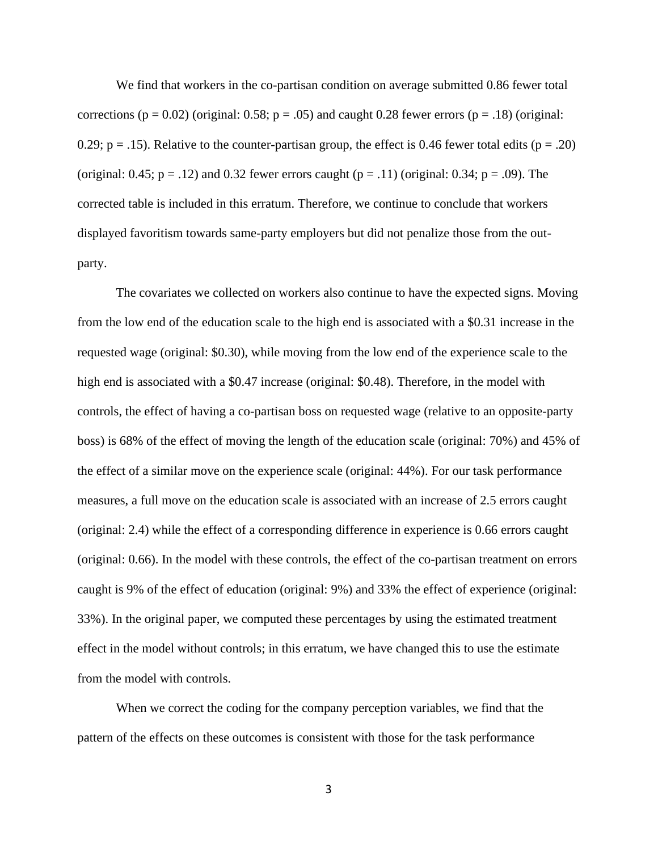We find that workers in the co-partisan condition on average submitted 0.86 fewer total corrections ( $p = 0.02$ ) (original: 0.58;  $p = .05$ ) and caught 0.28 fewer errors ( $p = .18$ ) (original: 0.29;  $p = .15$ ). Relative to the counter-partisan group, the effect is 0.46 fewer total edits ( $p = .20$ ) (original: 0.45;  $p = .12$ ) and 0.32 fewer errors caught ( $p = .11$ ) (original: 0.34;  $p = .09$ ). The corrected table is included in this erratum. Therefore, we continue to conclude that workers displayed favoritism towards same-party employers but did not penalize those from the outparty.

The covariates we collected on workers also continue to have the expected signs. Moving from the low end of the education scale to the high end is associated with a \$0.31 increase in the requested wage (original: \$0.30), while moving from the low end of the experience scale to the high end is associated with a \$0.47 increase (original: \$0.48). Therefore, in the model with controls, the effect of having a co-partisan boss on requested wage (relative to an opposite-party boss) is 68% of the effect of moving the length of the education scale (original: 70%) and 45% of the effect of a similar move on the experience scale (original: 44%). For our task performance measures, a full move on the education scale is associated with an increase of 2.5 errors caught (original: 2.4) while the effect of a corresponding difference in experience is 0.66 errors caught (original: 0.66). In the model with these controls, the effect of the co-partisan treatment on errors caught is 9% of the effect of education (original: 9%) and 33% the effect of experience (original: 33%). In the original paper, we computed these percentages by using the estimated treatment effect in the model without controls; in this erratum, we have changed this to use the estimate from the model with controls.

When we correct the coding for the company perception variables, we find that the pattern of the effects on these outcomes is consistent with those for the task performance

3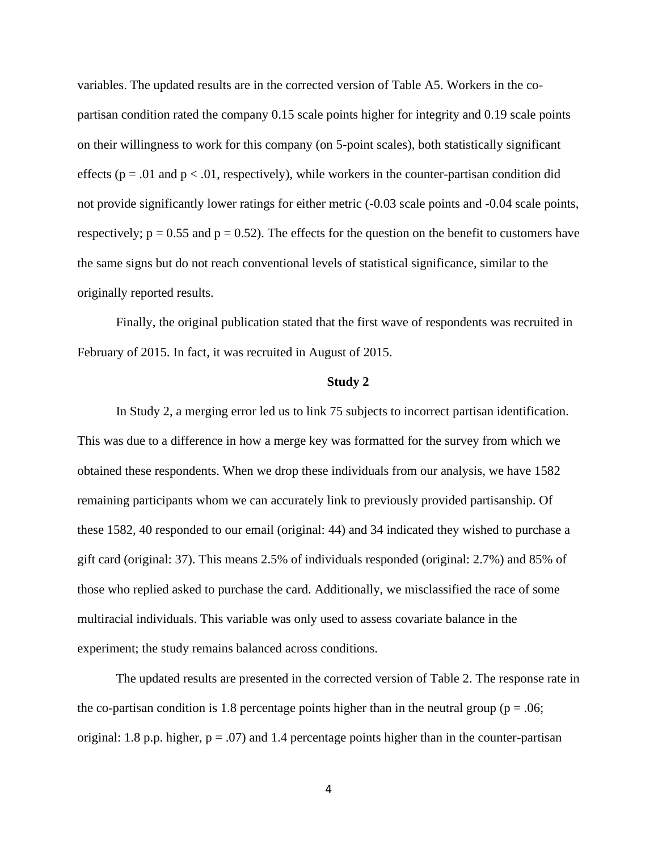variables. The updated results are in the corrected version of Table A5. Workers in the copartisan condition rated the company 0.15 scale points higher for integrity and 0.19 scale points on their willingness to work for this company (on 5-point scales), both statistically significant effects ( $p = .01$  and  $p < .01$ , respectively), while workers in the counter-partisan condition did not provide significantly lower ratings for either metric  $(-0.03 \text{ scale points}$  and  $-0.04 \text{ scale points}$ , respectively;  $p = 0.55$  and  $p = 0.52$ ). The effects for the question on the benefit to customers have the same signs but do not reach conventional levels of statistical significance, similar to the originally reported results.

Finally, the original publication stated that the first wave of respondents was recruited in February of 2015. In fact, it was recruited in August of 2015.

#### **Study 2**

In Study 2, a merging error led us to link 75 subjects to incorrect partisan identification. This was due to a difference in how a merge key was formatted for the survey from which we obtained these respondents. When we drop these individuals from our analysis, we have 1582 remaining participants whom we can accurately link to previously provided partisanship. Of these 1582, 40 responded to our email (original: 44) and 34 indicated they wished to purchase a gift card (original: 37). This means 2.5% of individuals responded (original: 2.7%) and 85% of those who replied asked to purchase the card. Additionally, we misclassified the race of some multiracial individuals. This variable was only used to assess covariate balance in the experiment; the study remains balanced across conditions.

The updated results are presented in the corrected version of Table 2. The response rate in the co-partisan condition is 1.8 percentage points higher than in the neutral group ( $p = .06$ ; original: 1.8 p.p. higher,  $p = .07$ ) and 1.4 percentage points higher than in the counter-partisan

4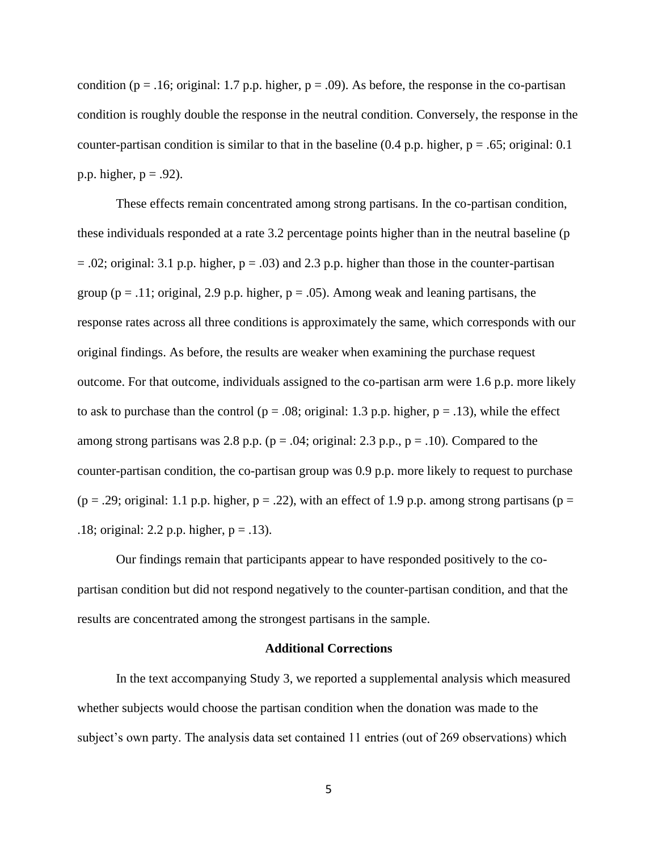condition ( $p = .16$ ; original: 1.7 p.p. higher,  $p = .09$ ). As before, the response in the co-partisan condition is roughly double the response in the neutral condition. Conversely, the response in the counter-partisan condition is similar to that in the baseline  $(0.4 \text{ p.p. higher, p} = .65;$  original: 0.1 p.p. higher,  $p = .92$ ).

These effects remain concentrated among strong partisans. In the co-partisan condition, these individuals responded at a rate 3.2 percentage points higher than in the neutral baseline (p  $= .02$ ; original: 3.1 p.p. higher,  $p = .03$ ) and 2.3 p.p. higher than those in the counter-partisan group ( $p = .11$ ; original, 2.9 p.p. higher,  $p = .05$ ). Among weak and leaning partisans, the response rates across all three conditions is approximately the same, which corresponds with our original findings. As before, the results are weaker when examining the purchase request outcome. For that outcome, individuals assigned to the co-partisan arm were 1.6 p.p. more likely to ask to purchase than the control ( $p = .08$ ; original: 1.3 p.p. higher,  $p = .13$ ), while the effect among strong partisans was 2.8 p.p. ( $p = .04$ ; original: 2.3 p.p.,  $p = .10$ ). Compared to the counter-partisan condition, the co-partisan group was 0.9 p.p. more likely to request to purchase  $(p = .29;$  original: 1.1 p.p. higher,  $p = .22$ ), with an effect of 1.9 p.p. among strong partisans ( $p =$ .18; original: 2.2 p.p. higher,  $p = .13$ ).

Our findings remain that participants appear to have responded positively to the copartisan condition but did not respond negatively to the counter-partisan condition, and that the results are concentrated among the strongest partisans in the sample.

#### **Additional Corrections**

In the text accompanying Study 3, we reported a supplemental analysis which measured whether subjects would choose the partisan condition when the donation was made to the subject's own party. The analysis data set contained 11 entries (out of 269 observations) which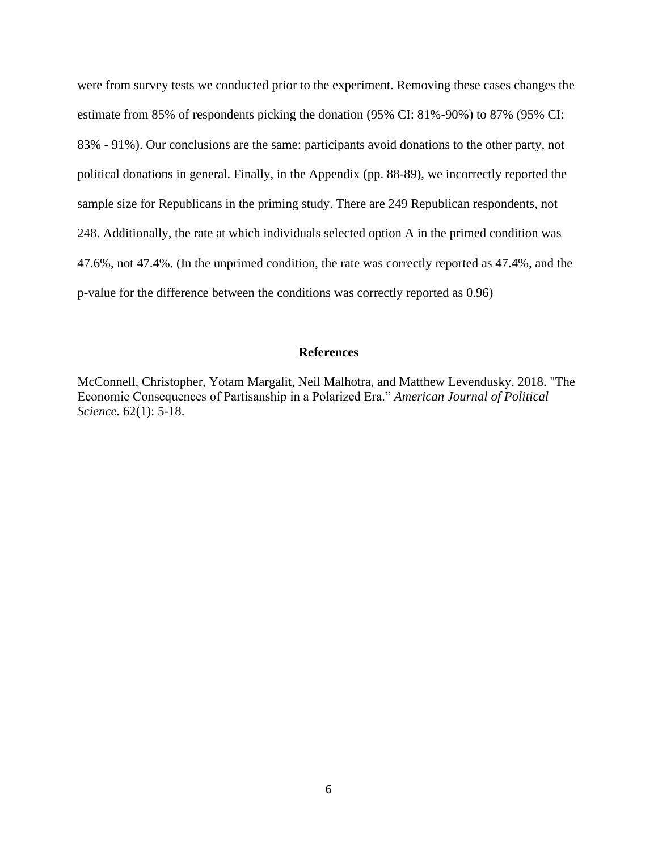were from survey tests we conducted prior to the experiment. Removing these cases changes the estimate from 85% of respondents picking the donation (95% CI: 81%-90%) to 87% (95% CI: 83% - 91%). Our conclusions are the same: participants avoid donations to the other party, not political donations in general. Finally, in the Appendix (pp. 88-89), we incorrectly reported the sample size for Republicans in the priming study. There are 249 Republican respondents, not 248. Additionally, the rate at which individuals selected option A in the primed condition was 47.6%, not 47.4%. (In the unprimed condition, the rate was correctly reported as 47.4%, and the p-value for the difference between the conditions was correctly reported as 0.96)

### **References**

McConnell, Christopher, Yotam Margalit, Neil Malhotra, and Matthew Levendusky. 2018. "The Economic Consequences of Partisanship in a Polarized Era." *American Journal of Political Science*. 62(1): 5-18.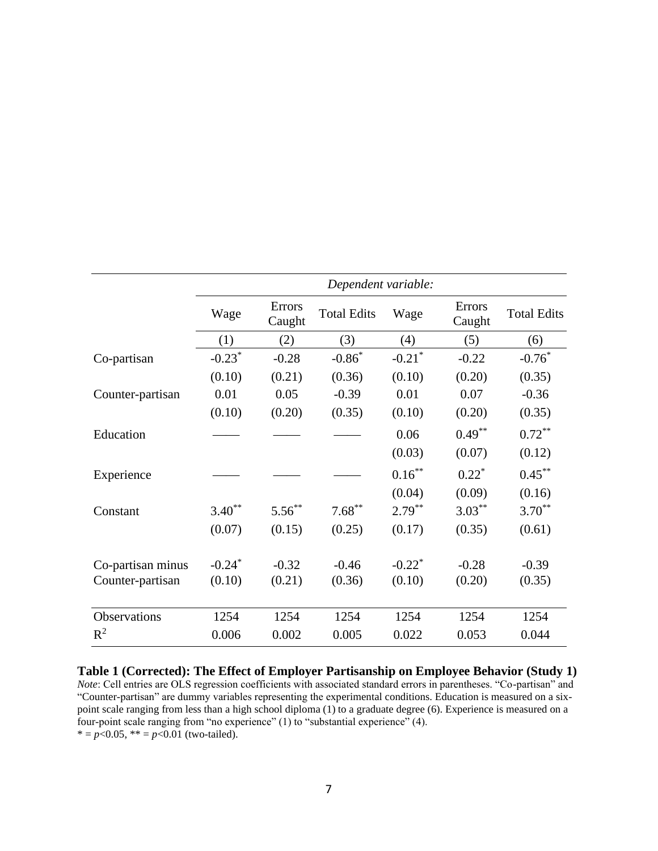|                   | Dependent variable:  |                         |                    |                      |                         |                    |
|-------------------|----------------------|-------------------------|--------------------|----------------------|-------------------------|--------------------|
|                   | Wage                 | <b>Errors</b><br>Caught | <b>Total Edits</b> | Wage                 | <b>Errors</b><br>Caught | <b>Total Edits</b> |
|                   | (1)                  | (2)                     | (3)                | (4)                  | (5)                     | (6)                |
| Co-partisan       | $-0.23*$             | $-0.28$                 | $-0.86*$           | $-0.21$ <sup>*</sup> | $-0.22$                 | $-0.76*$           |
|                   | (0.10)               | (0.21)                  | (0.36)             | (0.10)               | (0.20)                  | (0.35)             |
| Counter-partisan  | 0.01                 | 0.05                    | $-0.39$            | 0.01                 | 0.07                    | $-0.36$            |
|                   | (0.10)               | (0.20)                  | (0.35)             | (0.10)               | (0.20)                  | (0.35)             |
| Education         |                      |                         |                    | 0.06                 | $0.49***$               | $0.72***$          |
|                   |                      |                         |                    | (0.03)               | (0.07)                  | (0.12)             |
| Experience        |                      |                         |                    | $0.16***$            | $0.22^*$                | $0.45***$          |
|                   |                      |                         |                    | (0.04)               | (0.09)                  | (0.16)             |
| Constant          | $3.40**$             | $5.56***$               | $7.68***$          | $2.79***$            | $3.03***$               | $3.70^{**}$        |
|                   | (0.07)               | (0.15)                  | (0.25)             | (0.17)               | (0.35)                  | (0.61)             |
| Co-partisan minus | $-0.24$ <sup>*</sup> | $-0.32$                 | $-0.46$            | $-0.22$ <sup>*</sup> | $-0.28$                 | $-0.39$            |
| Counter-partisan  | (0.10)               | (0.21)                  | (0.36)             | (0.10)               | (0.20)                  | (0.35)             |
| Observations      | 1254                 | 1254                    | 1254               | 1254                 | 1254                    | 1254               |
| $R^2$             | 0.006                | 0.002                   | 0.005              | 0.022                | 0.053                   | 0.044              |

**Table 1 (Corrected): The Effect of Employer Partisanship on Employee Behavior (Study 1)** *Note*: Cell entries are OLS regression coefficients with associated standard errors in parentheses. "Co-partisan" and "Counter-partisan" are dummy variables representing the experimental conditions. Education is measured on a sixpoint scale ranging from less than a high school diploma (1) to a graduate degree (6). Experience is measured on a four-point scale ranging from "no experience" (1) to "substantial experience" (4).  $* = p < 0.05$ ,  $* = p < 0.01$  (two-tailed).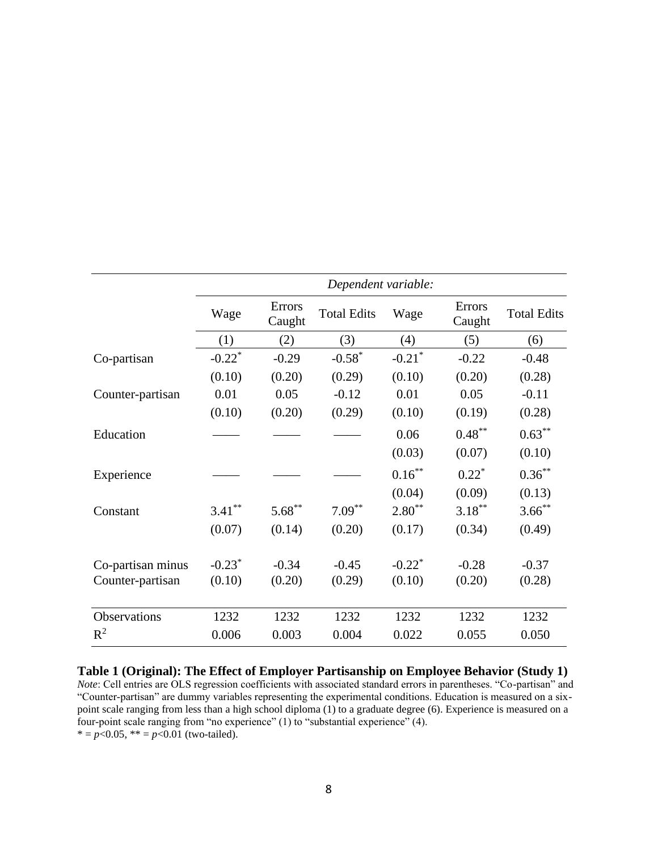|                   | Dependent variable:  |                         |                    |                      |                  |                    |
|-------------------|----------------------|-------------------------|--------------------|----------------------|------------------|--------------------|
|                   | Wage                 | <b>Errors</b><br>Caught | <b>Total Edits</b> | Wage                 | Errors<br>Caught | <b>Total Edits</b> |
|                   | (1)                  | (2)                     | (3)                | (4)                  | (5)              | (6)                |
| Co-partisan       | $-0.22$ <sup>*</sup> | $-0.29$                 | $-0.58*$           | $-0.21$ <sup>*</sup> | $-0.22$          | $-0.48$            |
|                   | (0.10)               | (0.20)                  | (0.29)             | (0.10)               | (0.20)           | (0.28)             |
| Counter-partisan  | 0.01                 | 0.05                    | $-0.12$            | 0.01                 | 0.05             | $-0.11$            |
|                   | (0.10)               | (0.20)                  | (0.29)             | (0.10)               | (0.19)           | (0.28)             |
| Education         |                      |                         |                    | 0.06                 | $0.48***$        | $0.63***$          |
|                   |                      |                         |                    | (0.03)               | (0.07)           | (0.10)             |
| Experience        |                      |                         |                    | $0.16***$            | $0.22^*$         | $0.36***$          |
|                   |                      |                         |                    | (0.04)               | (0.09)           | (0.13)             |
| Constant          | $3.41***$            | $5.68***$               | $7.09***$          | $2.80**$             | $3.18***$        | $3.66$ **          |
|                   | (0.07)               | (0.14)                  | (0.20)             | (0.17)               | (0.34)           | (0.49)             |
| Co-partisan minus | $-0.23$ <sup>*</sup> | $-0.34$                 | $-0.45$            | $-0.22$ <sup>*</sup> | $-0.28$          | $-0.37$            |
| Counter-partisan  | (0.10)               | (0.20)                  | (0.29)             | (0.10)               | (0.20)           | (0.28)             |
| Observations      | 1232                 | 1232                    | 1232               | 1232                 | 1232             | 1232               |
| $R^2$             | 0.006                | 0.003                   | 0.004              | 0.022                | 0.055            | 0.050              |

**Table 1 (Original): The Effect of Employer Partisanship on Employee Behavior (Study 1)** *Note*: Cell entries are OLS regression coefficients with associated standard errors in parentheses. "Co-partisan" and "Counter-partisan" are dummy variables representing the experimental conditions. Education is measured on a sixpoint scale ranging from less than a high school diploma (1) to a graduate degree (6). Experience is measured on a four-point scale ranging from "no experience" (1) to "substantial experience" (4).  $* = p < 0.05$ ,  $* = p < 0.01$  (two-tailed).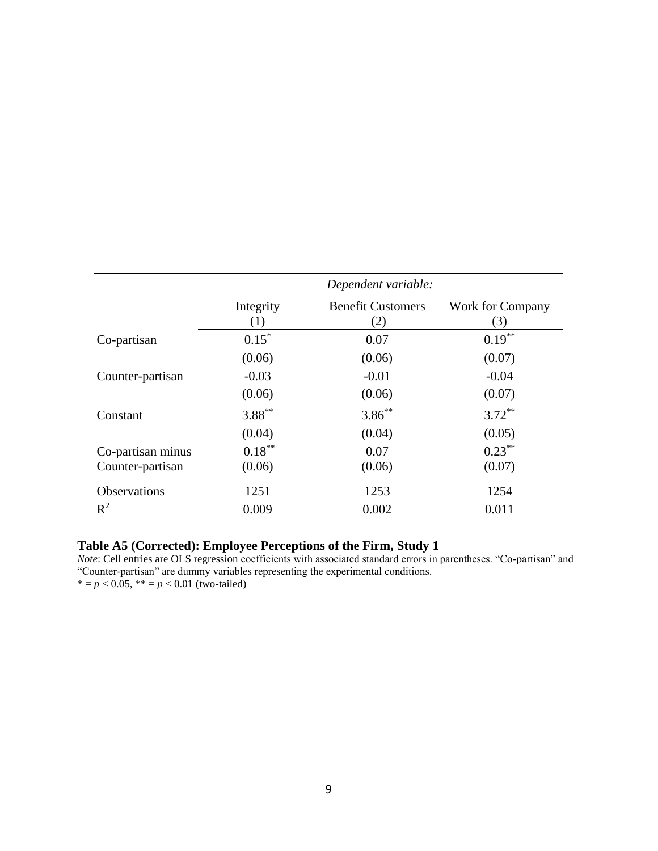|                     | Dependent variable: |                                 |                        |  |  |
|---------------------|---------------------|---------------------------------|------------------------|--|--|
|                     | Integrity<br>(1)    | <b>Benefit Customers</b><br>(2) | Work for Company<br>3) |  |  |
| Co-partisan         | $0.15*$             | 0.07                            | $0.19***$              |  |  |
|                     | (0.06)              | (0.06)                          | (0.07)                 |  |  |
| Counter-partisan    | $-0.03$             | $-0.01$                         | $-0.04$                |  |  |
|                     | (0.06)              | (0.06)                          | (0.07)                 |  |  |
| Constant            | $3.88***$           | $3.86***$                       | $3.72***$              |  |  |
|                     | (0.04)              | (0.04)                          | (0.05)                 |  |  |
| Co-partisan minus   | $0.18***$           | 0.07                            | $0.23***$              |  |  |
| Counter-partisan    | (0.06)              | (0.06)                          | (0.07)                 |  |  |
| <b>Observations</b> | 1251                | 1253                            | 1254                   |  |  |
| $R^2$               | 0.009               | 0.002                           | 0.011                  |  |  |

## **Table A5 (Corrected): Employee Perceptions of the Firm, Study 1**

*Note*: Cell entries are OLS regression coefficients with associated standard errors in parentheses. "Co-partisan" and "Counter-partisan" are dummy variables representing the experimental conditions. \* =  $p < 0.05$ , \*\* =  $p < 0.01$  (two-tailed)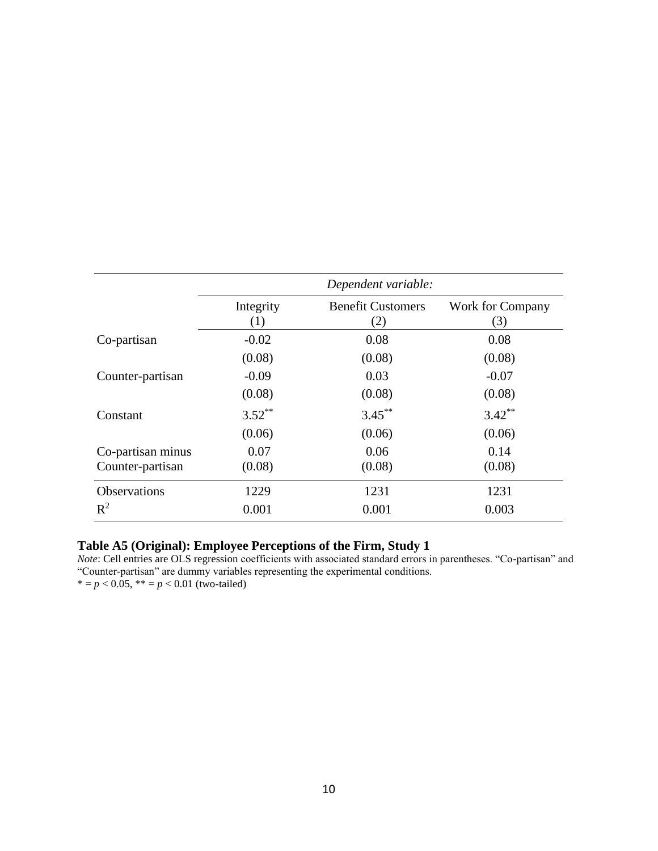|                                       | Dependent variable: |                                 |                         |  |  |
|---------------------------------------|---------------------|---------------------------------|-------------------------|--|--|
|                                       | Integrity<br>(1)    | <b>Benefit Customers</b><br>(2) | Work for Company<br>(3) |  |  |
| Co-partisan                           | $-0.02$             | 0.08                            | 0.08                    |  |  |
|                                       | (0.08)              | (0.08)                          | (0.08)                  |  |  |
| Counter-partisan                      | $-0.09$             | 0.03                            | $-0.07$                 |  |  |
|                                       | (0.08)              | (0.08)                          | (0.08)                  |  |  |
| Constant                              | $3.52***$           | $3.45***$                       | $3.42***$               |  |  |
|                                       | (0.06)              | (0.06)                          | (0.06)                  |  |  |
| Co-partisan minus<br>Counter-partisan | 0.07<br>(0.08)      | 0.06<br>(0.08)                  | 0.14<br>(0.08)          |  |  |
| <b>Observations</b>                   | 1229                | 1231                            | 1231                    |  |  |
| $R^2$                                 | 0.001               | 0.001                           | 0.003                   |  |  |

# **Table A5 (Original): Employee Perceptions of the Firm, Study 1**

*Note*: Cell entries are OLS regression coefficients with associated standard errors in parentheses. "Co-partisan" and "Counter-partisan" are dummy variables representing the experimental conditions. \* =  $p < 0.05$ , \*\* =  $p < 0.01$  (two-tailed)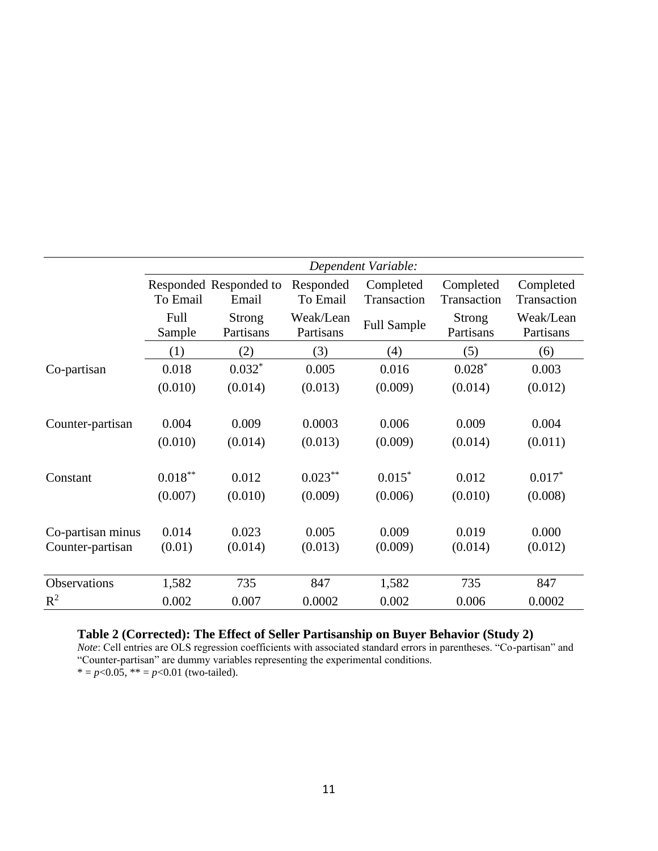|                   | Dependent Variable: |                                 |                        |                          |                            |                          |
|-------------------|---------------------|---------------------------------|------------------------|--------------------------|----------------------------|--------------------------|
|                   | To Email            | Responded Responded to<br>Email | Responded<br>To Email  | Completed<br>Transaction | Completed<br>Transaction   | Completed<br>Transaction |
|                   | Full<br>Sample      | <b>Strong</b><br>Partisans      | Weak/Lean<br>Partisans | <b>Full Sample</b>       | <b>Strong</b><br>Partisans | Weak/Lean<br>Partisans   |
|                   | (1)                 | (2)                             | (3)                    | (4)                      | (5)                        | (6)                      |
| Co-partisan       | 0.018               | $0.032*$                        | 0.005                  | 0.016                    | $0.028*$                   | 0.003                    |
|                   | (0.010)             | (0.014)                         | (0.013)                | (0.009)                  | (0.014)                    | (0.012)                  |
| Counter-partisan  | 0.004               | 0.009                           | 0.0003                 | 0.006                    | 0.009                      | 0.004                    |
|                   | (0.010)             | (0.014)                         | (0.013)                | (0.009)                  | (0.014)                    | (0.011)                  |
| Constant          | $0.018***$          | 0.012                           | $0.023***$             | $0.015*$                 | 0.012                      | $0.017*$                 |
|                   | (0.007)             | (0.010)                         | (0.009)                | (0.006)                  | (0.010)                    | (0.008)                  |
| Co-partisan minus | 0.014               | 0.023                           | 0.005                  | 0.009                    | 0.019                      | 0.000                    |
| Counter-partisan  | (0.01)              | (0.014)                         | (0.013)                | (0.009)                  | (0.014)                    | (0.012)                  |
| Observations      | 1,582               | 735                             | 847                    | 1,582                    | 735                        | 847                      |
| $R^2$             | 0.002               | 0.007                           | 0.0002                 | 0.002                    | 0.006                      | 0.0002                   |

### **Table 2 (Corrected): The Effect of Seller Partisanship on Buyer Behavior (Study 2)**

*Note*: Cell entries are OLS regression coefficients with associated standard errors in parentheses. "Co-partisan" and "Counter-partisan" are dummy variables representing the experimental conditions.

\* =  $p$ <0.05, \*\* =  $p$ <0.01 (two-tailed).